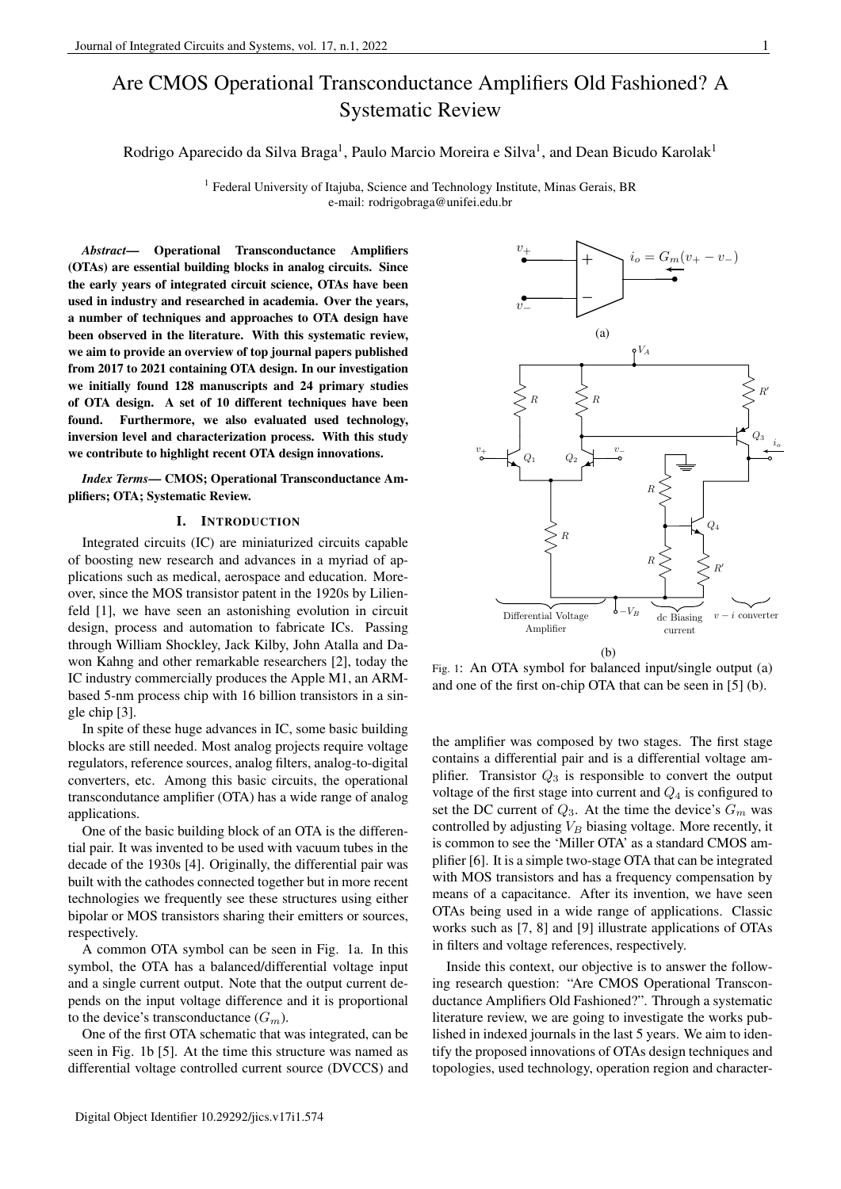# Are CMOS Operational Transconductance Amplifiers Old Fashioned? A Systematic Review

Rodrigo Aparecido da Silva Braga<sup>1</sup>, Paulo Marcio Moreira e Silva<sup>1</sup>, and Dean Bicudo Karolak<sup>1</sup>

<sup>1</sup> Federal University of Itajuba, Science and Technology Institute, Minas Gerais, BR e-mail: rodrigobraga@unifei.edu.br

*Abstract*— Operational Transconductance Amplifiers (OTAs) are essential building blocks in analog circuits. Since the early years of integrated circuit science, OTAs have been used in industry and researched in academia. Over the years, a number of techniques and approaches to OTA design have been observed in the literature. With this systematic review, we aim to provide an overview of top journal papers published from 2017 to 2021 containing OTA design. In our investigation we initially found 128 manuscripts and 24 primary studies of OTA design. A set of 10 different techniques have been found. Furthermore, we also evaluated used technology, inversion level and characterization process. With this study we contribute to highlight recent OTA design innovations.

*Index Terms*— CMOS; Operational Transconductance Amplifiers; OTA; Systematic Review.

## I. INTRODUCTION

Integrated circuits (IC) are miniaturized circuits capable of boosting new research and advances in a myriad of applications such as medical, aerospace and education. Moreover, since the MOS transistor patent in the 1920s by Lilienfeld [1], we have seen an astonishing evolution in circuit design, process and automation to fabricate ICs. Passing through William Shockley, Jack Kilby, John Atalla and Dawon Kahng and other remarkable researchers [2], today the IC industry commercially produces the Apple M1, an ARMbased 5-nm process chip with 16 billion transistors in a single chip [3].

In spite of these huge advances in IC, some basic building blocks are still needed. Most analog projects require voltage regulators, reference sources, analog filters, analog-to-digital converters, etc. Among this basic circuits, the operational transcondutance amplifier (OTA) has a wide range of analog applications.

One of the basic building block of an OTA is the differential pair. It was invented to be used with vacuum tubes in the decade of the 1930s [4]. Originally, the differential pair was built with the cathodes connected together but in more recent technologies we frequently see these structures using either bipolar or MOS transistors sharing their emitters or sources, respectively.

A common OTA symbol can be seen in Fig. 1a. In this symbol, the OTA has a balanced/differential voltage input and a single current output. Note that the output current depends on the input voltage difference and it is proportional to the device's transconductance  $(G_m)$ .

One of the first OTA schematic that was integrated, can be seen in Fig. 1b [5]. At the time this structure was named as differential voltage controlled current source (DVCCS) and



Fig. 1: An OTA symbol for balanced input/single output (a) and one of the first on-chip OTA that can be seen in [5] (b).

the amplifier was composed by two stages. The first stage contains a differential pair and is a differential voltage amplifier. Transistor  $Q_3$  is responsible to convert the output voltage of the first stage into current and  $Q_4$  is configured to set the DC current of  $Q_3$ . At the time the device's  $G_m$  was controlled by adjusting  $V_B$  biasing voltage. More recently, it is common to see the 'Miller OTA' as a standard CMOS amplifier [6]. It is a simple two-stage OTA that can be integrated with MOS transistors and has a frequency compensation by means of a capacitance. After its invention, we have seen OTAs being used in a wide range of applications. Classic works such as [7, 8] and [9] illustrate applications of OTAs in filters and voltage references, respectively.

Inside this context, our objective is to answer the following research question: "Are CMOS Operational Transconductance Amplifiers Old Fashioned?". Through a systematic literature review, we are going to investigate the works published in indexed journals in the last 5 years. We aim to identify the proposed innovations of OTAs design techniques and topologies, used technology, operation region and character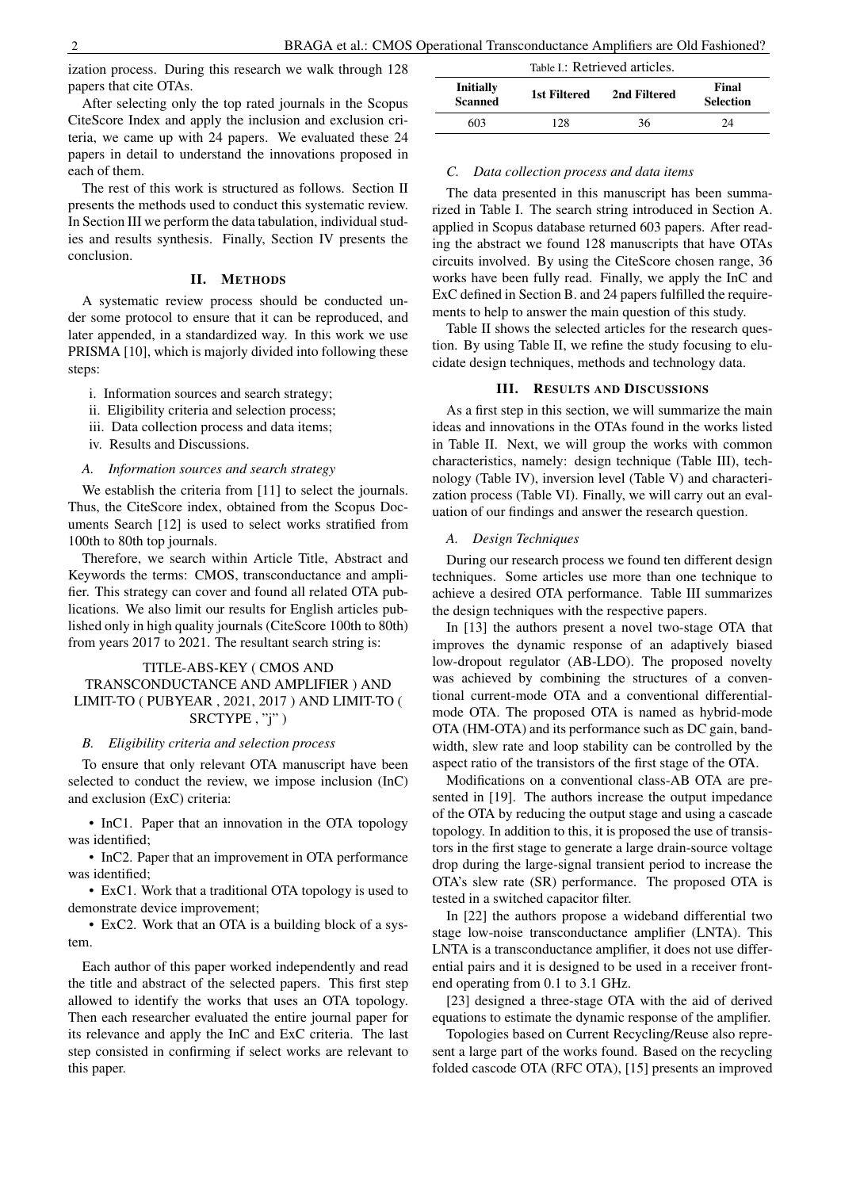ization process. During this research we walk through 128 papers that cite OTAs.

After selecting only the top rated journals in the Scopus CiteScore Index and apply the inclusion and exclusion criteria, we came up with 24 papers. We evaluated these 24 papers in detail to understand the innovations proposed in each of them.

The rest of this work is structured as follows. Section II presents the methods used to conduct this systematic review. In Section III we perform the data tabulation, individual studies and results synthesis. Finally, Section IV presents the conclusion.

#### II. METHODS

A systematic review process should be conducted under some protocol to ensure that it can be reproduced, and later appended, in a standardized way. In this work we use PRISMA [10], which is majorly divided into following these steps:

- i. Information sources and search strategy;
- ii. Eligibility criteria and selection process;
- iii. Data collection process and data items;
- iv. Results and Discussions.

# *A. Information sources and search strategy*

We establish the criteria from [11] to select the journals. Thus, the CiteScore index, obtained from the Scopus Documents Search [12] is used to select works stratified from 100th to 80th top journals.

Therefore, we search within Article Title, Abstract and Keywords the terms: CMOS, transconductance and amplifier. This strategy can cover and found all related OTA publications. We also limit our results for English articles published only in high quality journals (CiteScore 100th to 80th) from years 2017 to 2021. The resultant search string is:

# TITLE-ABS-KEY ( CMOS AND TRANSCONDUCTANCE AND AMPLIFIER ) AND LIMIT-TO ( PUBYEAR , 2021, 2017 ) AND LIMIT-TO ( SRCTYPE, "j")

#### *B. Eligibility criteria and selection process*

To ensure that only relevant OTA manuscript have been selected to conduct the review, we impose inclusion (InC) and exclusion (ExC) criteria:

• InC1. Paper that an innovation in the OTA topology was identified;

• InC2. Paper that an improvement in OTA performance was identified;

• ExC1. Work that a traditional OTA topology is used to demonstrate device improvement;

• ExC2. Work that an OTA is a building block of a system.

Each author of this paper worked independently and read the title and abstract of the selected papers. This first step allowed to identify the works that uses an OTA topology. Then each researcher evaluated the entire journal paper for its relevance and apply the InC and ExC criteria. The last step consisted in confirming if select works are relevant to this paper.

| Table I.: Retrieved articles.      |              |              |                           |
|------------------------------------|--------------|--------------|---------------------------|
| <b>Initially</b><br><b>Scanned</b> | 1st Filtered | 2nd Filtered | Final<br><b>Selection</b> |
| 603                                | 128          | 36           | 24                        |

#### *C. Data collection process and data items*

The data presented in this manuscript has been summarized in Table I. The search string introduced in Section A. applied in Scopus database returned 603 papers. After reading the abstract we found 128 manuscripts that have OTAs circuits involved. By using the CiteScore chosen range, 36 works have been fully read. Finally, we apply the InC and ExC defined in Section B. and 24 papers fulfilled the requirements to help to answer the main question of this study.

Table II shows the selected articles for the research question. By using Table II, we refine the study focusing to elucidate design techniques, methods and technology data.

#### III. RESULTS AND DISCUSSIONS

As a first step in this section, we will summarize the main ideas and innovations in the OTAs found in the works listed in Table II. Next, we will group the works with common characteristics, namely: design technique (Table III), technology (Table IV), inversion level (Table V) and characterization process (Table VI). Finally, we will carry out an evaluation of our findings and answer the research question.

#### *A. Design Techniques*

During our research process we found ten different design techniques. Some articles use more than one technique to achieve a desired OTA performance. Table III summarizes the design techniques with the respective papers.

In [13] the authors present a novel two-stage OTA that improves the dynamic response of an adaptively biased low-dropout regulator (AB-LDO). The proposed novelty was achieved by combining the structures of a conventional current-mode OTA and a conventional differentialmode OTA. The proposed OTA is named as hybrid-mode OTA (HM-OTA) and its performance such as DC gain, bandwidth, slew rate and loop stability can be controlled by the aspect ratio of the transistors of the first stage of the OTA.

Modifications on a conventional class-AB OTA are presented in [19]. The authors increase the output impedance of the OTA by reducing the output stage and using a cascade topology. In addition to this, it is proposed the use of transistors in the first stage to generate a large drain-source voltage drop during the large-signal transient period to increase the OTA's slew rate (SR) performance. The proposed OTA is tested in a switched capacitor filter.

In [22] the authors propose a wideband differential two stage low-noise transconductance amplifier (LNTA). This LNTA is a transconductance amplifier, it does not use differential pairs and it is designed to be used in a receiver frontend operating from 0.1 to 3.1 GHz.

[23] designed a three-stage OTA with the aid of derived equations to estimate the dynamic response of the amplifier.

Topologies based on Current Recycling/Reuse also represent a large part of the works found. Based on the recycling folded cascode OTA (RFC OTA), [15] presents an improved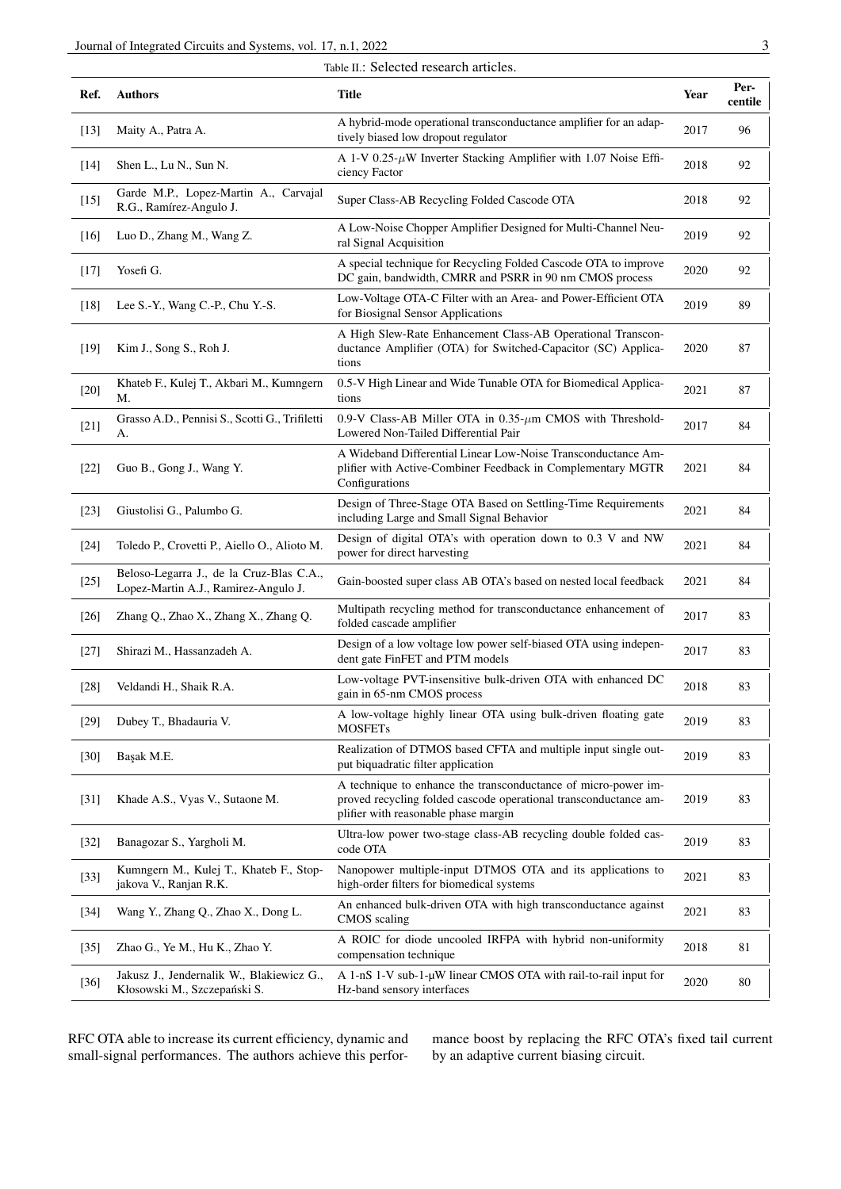|        | Table II.: Selected research articles.                                           |                                                                                                                                                                            |      |                 |
|--------|----------------------------------------------------------------------------------|----------------------------------------------------------------------------------------------------------------------------------------------------------------------------|------|-----------------|
| Ref.   | <b>Authors</b>                                                                   | <b>Title</b>                                                                                                                                                               | Year | Per-<br>centile |
| $[13]$ | Maity A., Patra A.                                                               | A hybrid-mode operational transconductance amplifier for an adap-<br>tively biased low dropout regulator                                                                   | 2017 | 96              |
| $[14]$ | Shen L., Lu N., Sun N.                                                           | A 1-V 0.25- $\mu$ W Inverter Stacking Amplifier with 1.07 Noise Effi-<br>ciency Factor                                                                                     | 2018 | 92              |
| $[15]$ | Garde M.P., Lopez-Martin A., Carvajal<br>R.G., Ramírez-Angulo J.                 | Super Class-AB Recycling Folded Cascode OTA                                                                                                                                | 2018 | 92              |
| $[16]$ | Luo D., Zhang M., Wang Z.                                                        | A Low-Noise Chopper Amplifier Designed for Multi-Channel Neu-<br>ral Signal Acquisition                                                                                    | 2019 | 92              |
| $[17]$ | Yosefi G.                                                                        | A special technique for Recycling Folded Cascode OTA to improve<br>DC gain, bandwidth, CMRR and PSRR in 90 nm CMOS process                                                 | 2020 | 92              |
| $[18]$ | Lee S.-Y., Wang C.-P., Chu Y.-S.                                                 | Low-Voltage OTA-C Filter with an Area- and Power-Efficient OTA<br>for Biosignal Sensor Applications                                                                        | 2019 | 89              |
| $[19]$ | Kim J., Song S., Roh J.                                                          | A High Slew-Rate Enhancement Class-AB Operational Transcon-<br>ductance Amplifier (OTA) for Switched-Capacitor (SC) Applica-<br>tions                                      | 2020 | 87              |
| $[20]$ | Khateb F., Kulej T., Akbari M., Kumngern<br>М.                                   | 0.5-V High Linear and Wide Tunable OTA for Biomedical Applica-<br>tions                                                                                                    | 2021 | 87              |
| $[21]$ | Grasso A.D., Pennisi S., Scotti G., Trifiletti<br>А.                             | 0.9-V Class-AB Miller OTA in $0.35$ - $\mu$ m CMOS with Threshold-<br>Lowered Non-Tailed Differential Pair                                                                 | 2017 | 84              |
| $[22]$ | Guo B., Gong J., Wang Y.                                                         | A Wideband Differential Linear Low-Noise Transconductance Am-<br>plifier with Active-Combiner Feedback in Complementary MGTR<br>Configurations                             | 2021 | 84              |
| $[23]$ | Giustolisi G., Palumbo G.                                                        | Design of Three-Stage OTA Based on Settling-Time Requirements<br>including Large and Small Signal Behavior                                                                 | 2021 | 84              |
| $[24]$ | Toledo P., Crovetti P., Aiello O., Alioto M.                                     | Design of digital OTA's with operation down to 0.3 V and NW<br>power for direct harvesting                                                                                 | 2021 | 84              |
| $[25]$ | Beloso-Legarra J., de la Cruz-Blas C.A.,<br>Lopez-Martin A.J., Ramirez-Angulo J. | Gain-boosted super class AB OTA's based on nested local feedback                                                                                                           | 2021 | 84              |
| $[26]$ | Zhang Q., Zhao X., Zhang X., Zhang Q.                                            | Multipath recycling method for transconductance enhancement of<br>folded cascade amplifier                                                                                 | 2017 | 83              |
| $[27]$ | Shirazi M., Hassanzadeh A.                                                       | Design of a low voltage low power self-biased OTA using indepen-<br>dent gate FinFET and PTM models                                                                        | 2017 | 83              |
| $[28]$ | Veldandi H., Shaik R.A.                                                          | Low-voltage PVT-insensitive bulk-driven OTA with enhanced DC<br>gain in 65-nm CMOS process                                                                                 | 2018 | 83              |
| $[29]$ | Dubey T., Bhadauria V.                                                           | A low-voltage highly linear OTA using bulk-driven floating gate<br><b>MOSFETs</b>                                                                                          | 2019 | 83              |
| $[30]$ | Başak M.E.                                                                       | Realization of DTMOS based CFTA and multiple input single out-<br>put biquadratic filter application                                                                       | 2019 | 83              |
| $[31]$ | Khade A.S., Vyas V., Sutaone M.                                                  | A technique to enhance the transconductance of micro-power im-<br>proved recycling folded cascode operational transconductance am-<br>plifier with reasonable phase margin | 2019 | 83              |
| $[32]$ | Banagozar S., Yargholi M.                                                        | Ultra-low power two-stage class-AB recycling double folded cas-<br>code OTA                                                                                                | 2019 | 83              |
| $[33]$ | Kumngern M., Kulej T., Khateb F., Stop-<br>jakova V., Ranjan R.K.                | Nanopower multiple-input DTMOS OTA and its applications to<br>high-order filters for biomedical systems                                                                    | 2021 | 83              |
| $[34]$ | Wang Y., Zhang Q., Zhao X., Dong L.                                              | An enhanced bulk-driven OTA with high transconductance against<br>CMOS scaling                                                                                             | 2021 | 83              |
| $[35]$ | Zhao G., Ye M., Hu K., Zhao Y.                                                   | A ROIC for diode uncooled IRFPA with hybrid non-uniformity<br>compensation technique                                                                                       | 2018 | 81              |
| $[36]$ | Jakusz J., Jendernalik W., Blakiewicz G.,<br>Kłosowski M., Szczepański S.        | A 1-nS 1-V sub-1-µW linear CMOS OTA with rail-to-rail input for<br>Hz-band sensory interfaces                                                                              | 2020 | 80              |

RFC OTA able to increase its current efficiency, dynamic and small-signal performances. The authors achieve this performance boost by replacing the RFC OTA's fixed tail current by an adaptive current biasing circuit.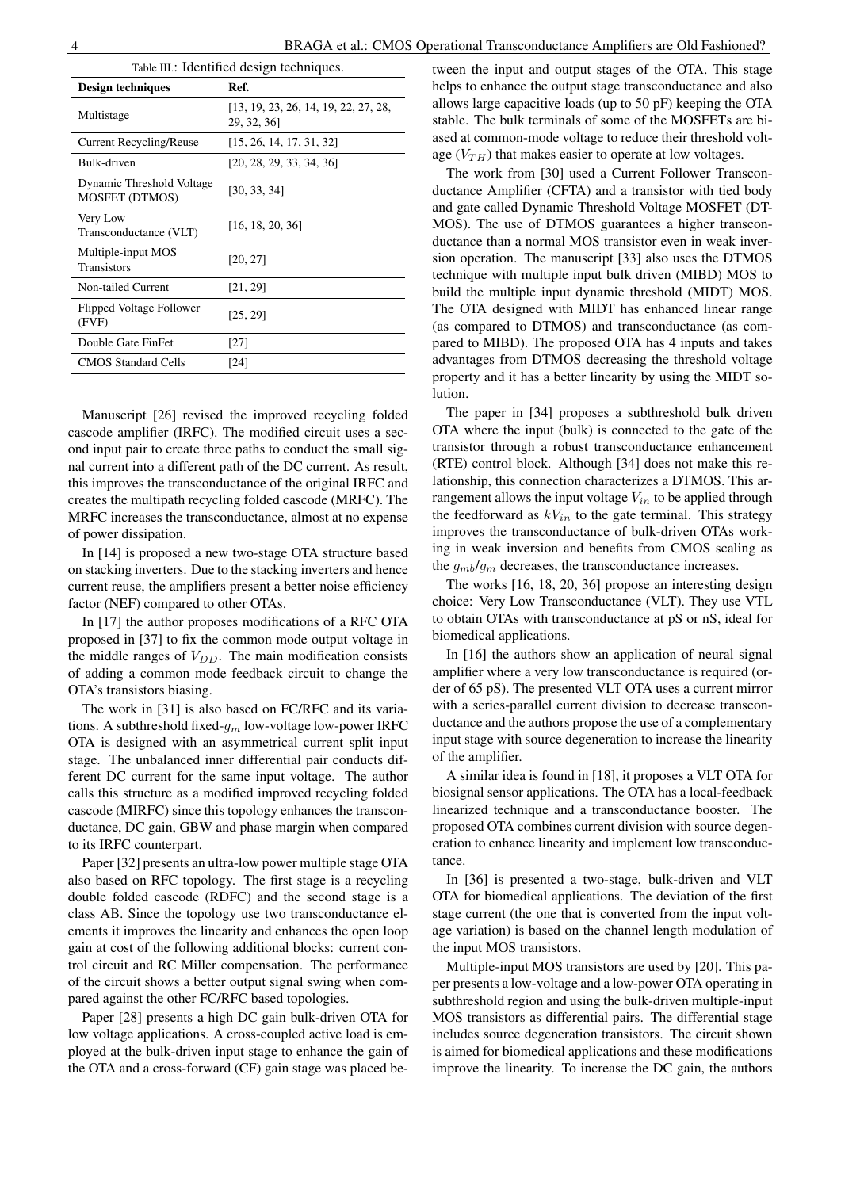| Table III.: Identified design techniques.          |                                                    |  |
|----------------------------------------------------|----------------------------------------------------|--|
| Design techniques                                  | Ref.                                               |  |
| Multistage                                         | [13, 19, 23, 26, 14, 19, 22, 27, 28,<br>29, 32, 36 |  |
| <b>Current Recycling/Reuse</b>                     | [15, 26, 14, 17, 31, 32]                           |  |
| Bulk-driven                                        | [20, 28, 29, 33, 34, 36]                           |  |
| Dynamic Threshold Voltage<br><b>MOSFET (DTMOS)</b> | [30, 33, 34]                                       |  |
| Very Low<br>Transconductance (VLT)                 | [16, 18, 20, 36]                                   |  |
| Multiple-input MOS<br><b>Transistors</b>           | [20, 27]                                           |  |
| Non-tailed Current                                 | [21, 29]                                           |  |
| Flipped Voltage Follower<br>(FVF)                  | [25, 29]                                           |  |
| Double Gate FinFet                                 | [27]                                               |  |
| <b>CMOS Standard Cells</b>                         | [24]                                               |  |
|                                                    |                                                    |  |

Manuscript [26] revised the improved recycling folded cascode amplifier (IRFC). The modified circuit uses a second input pair to create three paths to conduct the small signal current into a different path of the DC current. As result, this improves the transconductance of the original IRFC and creates the multipath recycling folded cascode (MRFC). The MRFC increases the transconductance, almost at no expense of power dissipation.

In [14] is proposed a new two-stage OTA structure based on stacking inverters. Due to the stacking inverters and hence current reuse, the amplifiers present a better noise efficiency factor (NEF) compared to other OTAs.

In [17] the author proposes modifications of a RFC OTA proposed in [37] to fix the common mode output voltage in the middle ranges of  $V_{DD}$ . The main modification consists of adding a common mode feedback circuit to change the OTA's transistors biasing.

The work in [31] is also based on FC/RFC and its variations. A subthreshold fixed- $g_m$  low-voltage low-power IRFC OTA is designed with an asymmetrical current split input stage. The unbalanced inner differential pair conducts different DC current for the same input voltage. The author calls this structure as a modified improved recycling folded cascode (MIRFC) since this topology enhances the transconductance, DC gain, GBW and phase margin when compared to its IRFC counterpart.

Paper [32] presents an ultra-low power multiple stage OTA also based on RFC topology. The first stage is a recycling double folded cascode (RDFC) and the second stage is a class AB. Since the topology use two transconductance elements it improves the linearity and enhances the open loop gain at cost of the following additional blocks: current control circuit and RC Miller compensation. The performance of the circuit shows a better output signal swing when compared against the other FC/RFC based topologies.

Paper [28] presents a high DC gain bulk-driven OTA for low voltage applications. A cross-coupled active load is employed at the bulk-driven input stage to enhance the gain of the OTA and a cross-forward (CF) gain stage was placed between the input and output stages of the OTA. This stage helps to enhance the output stage transconductance and also allows large capacitive loads (up to 50 pF) keeping the OTA stable. The bulk terminals of some of the MOSFETs are biased at common-mode voltage to reduce their threshold voltage  $(V_{TH})$  that makes easier to operate at low voltages.

The work from [30] used a Current Follower Transconductance Amplifier (CFTA) and a transistor with tied body and gate called Dynamic Threshold Voltage MOSFET (DT-MOS). The use of DTMOS guarantees a higher transconductance than a normal MOS transistor even in weak inversion operation. The manuscript [33] also uses the DTMOS technique with multiple input bulk driven (MIBD) MOS to build the multiple input dynamic threshold (MIDT) MOS. The OTA designed with MIDT has enhanced linear range (as compared to DTMOS) and transconductance (as compared to MIBD). The proposed OTA has 4 inputs and takes advantages from DTMOS decreasing the threshold voltage property and it has a better linearity by using the MIDT solution.

The paper in [34] proposes a subthreshold bulk driven OTA where the input (bulk) is connected to the gate of the transistor through a robust transconductance enhancement (RTE) control block. Although [34] does not make this relationship, this connection characterizes a DTMOS. This arrangement allows the input voltage  $V_{in}$  to be applied through the feedforward as  $kV_{in}$  to the gate terminal. This strategy improves the transconductance of bulk-driven OTAs working in weak inversion and benefits from CMOS scaling as the  $q_{mb}/q_m$  decreases, the transconductance increases.

The works [16, 18, 20, 36] propose an interesting design choice: Very Low Transconductance (VLT). They use VTL to obtain OTAs with transconductance at pS or nS, ideal for biomedical applications.

In [16] the authors show an application of neural signal amplifier where a very low transconductance is required (order of 65 pS). The presented VLT OTA uses a current mirror with a series-parallel current division to decrease transconductance and the authors propose the use of a complementary input stage with source degeneration to increase the linearity of the amplifier.

A similar idea is found in [18], it proposes a VLT OTA for biosignal sensor applications. The OTA has a local-feedback linearized technique and a transconductance booster. The proposed OTA combines current division with source degeneration to enhance linearity and implement low transconductance.

In [36] is presented a two-stage, bulk-driven and VLT OTA for biomedical applications. The deviation of the first stage current (the one that is converted from the input voltage variation) is based on the channel length modulation of the input MOS transistors.

Multiple-input MOS transistors are used by [20]. This paper presents a low-voltage and a low-power OTA operating in subthreshold region and using the bulk-driven multiple-input MOS transistors as differential pairs. The differential stage includes source degeneration transistors. The circuit shown is aimed for biomedical applications and these modifications improve the linearity. To increase the DC gain, the authors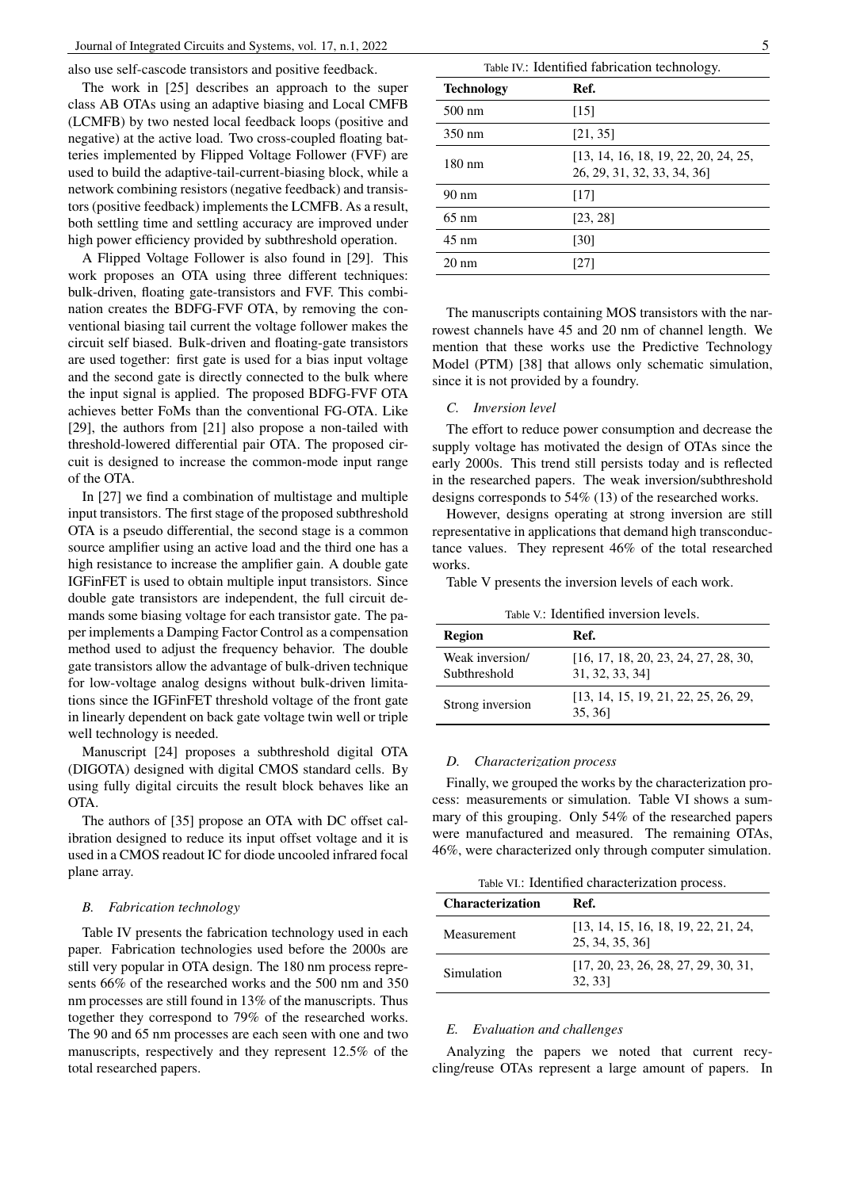also use self-cascode transistors and positive feedback.

The work in [25] describes an approach to the super class AB OTAs using an adaptive biasing and Local CMFB (LCMFB) by two nested local feedback loops (positive and negative) at the active load. Two cross-coupled floating batteries implemented by Flipped Voltage Follower (FVF) are used to build the adaptive-tail-current-biasing block, while a network combining resistors (negative feedback) and transistors (positive feedback) implements the LCMFB. As a result, both settling time and settling accuracy are improved under high power efficiency provided by subthreshold operation.

A Flipped Voltage Follower is also found in [29]. This work proposes an OTA using three different techniques: bulk-driven, floating gate-transistors and FVF. This combination creates the BDFG-FVF OTA, by removing the conventional biasing tail current the voltage follower makes the circuit self biased. Bulk-driven and floating-gate transistors are used together: first gate is used for a bias input voltage and the second gate is directly connected to the bulk where the input signal is applied. The proposed BDFG-FVF OTA achieves better FoMs than the conventional FG-OTA. Like [29], the authors from [21] also propose a non-tailed with threshold-lowered differential pair OTA. The proposed circuit is designed to increase the common-mode input range of the OTA.

In [27] we find a combination of multistage and multiple input transistors. The first stage of the proposed subthreshold OTA is a pseudo differential, the second stage is a common source amplifier using an active load and the third one has a high resistance to increase the amplifier gain. A double gate IGFinFET is used to obtain multiple input transistors. Since double gate transistors are independent, the full circuit demands some biasing voltage for each transistor gate. The paper implements a Damping Factor Control as a compensation method used to adjust the frequency behavior. The double gate transistors allow the advantage of bulk-driven technique for low-voltage analog designs without bulk-driven limitations since the IGFinFET threshold voltage of the front gate in linearly dependent on back gate voltage twin well or triple well technology is needed.

Manuscript [24] proposes a subthreshold digital OTA (DIGOTA) designed with digital CMOS standard cells. By using fully digital circuits the result block behaves like an OTA.

The authors of [35] propose an OTA with DC offset calibration designed to reduce its input offset voltage and it is used in a CMOS readout IC for diode uncooled infrared focal plane array.

### *B. Fabrication technology*

Table IV presents the fabrication technology used in each paper. Fabrication technologies used before the 2000s are still very popular in OTA design. The 180 nm process represents 66% of the researched works and the 500 nm and 350 nm processes are still found in 13% of the manuscripts. Thus together they correspond to 79% of the researched works. The 90 and 65 nm processes are each seen with one and two manuscripts, respectively and they represent 12.5% of the total researched papers.

| Table IV.: Identified fabrication technology. |                                                                     |  |
|-----------------------------------------------|---------------------------------------------------------------------|--|
| <b>Technology</b>                             | Ref.                                                                |  |
| 500 nm                                        | [15]                                                                |  |
| 350 nm                                        | [21, 35]                                                            |  |
| 180 nm                                        | [13, 14, 16, 18, 19, 22, 20, 24, 25,<br>26, 29, 31, 32, 33, 34, 36] |  |
| $90 \text{ nm}$                               | [17]                                                                |  |
| $65 \text{ nm}$                               | [23, 28]                                                            |  |
| $45 \text{ nm}$                               | [30]                                                                |  |
| $20 \text{ nm}$                               | [27]                                                                |  |

The manuscripts containing MOS transistors with the narrowest channels have 45 and 20 nm of channel length. We mention that these works use the Predictive Technology Model (PTM) [38] that allows only schematic simulation, since it is not provided by a foundry.

# *C. Inversion level*

The effort to reduce power consumption and decrease the supply voltage has motivated the design of OTAs since the early 2000s. This trend still persists today and is reflected in the researched papers. The weak inversion/subthreshold designs corresponds to 54% (13) of the researched works.

However, designs operating at strong inversion are still representative in applications that demand high transconductance values. They represent 46% of the total researched works.

Table V presents the inversion levels of each work.

|  | Table V: Identified inversion levels. |
|--|---------------------------------------|
|  |                                       |

| <b>Region</b>                   | Ref.                                                    |
|---------------------------------|---------------------------------------------------------|
| Weak inversion/<br>Subthreshold | [16, 17, 18, 20, 23, 24, 27, 28, 30,<br>31, 32, 33, 34] |
| Strong inversion                | [13, 14, 15, 19, 21, 22, 25, 26, 29,<br>35, 361         |

#### *D. Characterization process*

Finally, we grouped the works by the characterization process: measurements or simulation. Table VI shows a summary of this grouping. Only 54% of the researched papers were manufactured and measured. The remaining OTAs, 46%, were characterized only through computer simulation.

Table VI.: Identified characterization process.

| <b>Characterization</b> | Ref.                                                   |
|-------------------------|--------------------------------------------------------|
| Measurement             | [13, 14, 15, 16, 18, 19, 22, 21, 24,<br>25, 34, 35, 36 |
| Simulation              | [17, 20, 23, 26, 28, 27, 29, 30, 31,<br>32, 331        |

# *E. Evaluation and challenges*

Analyzing the papers we noted that current recycling/reuse OTAs represent a large amount of papers. In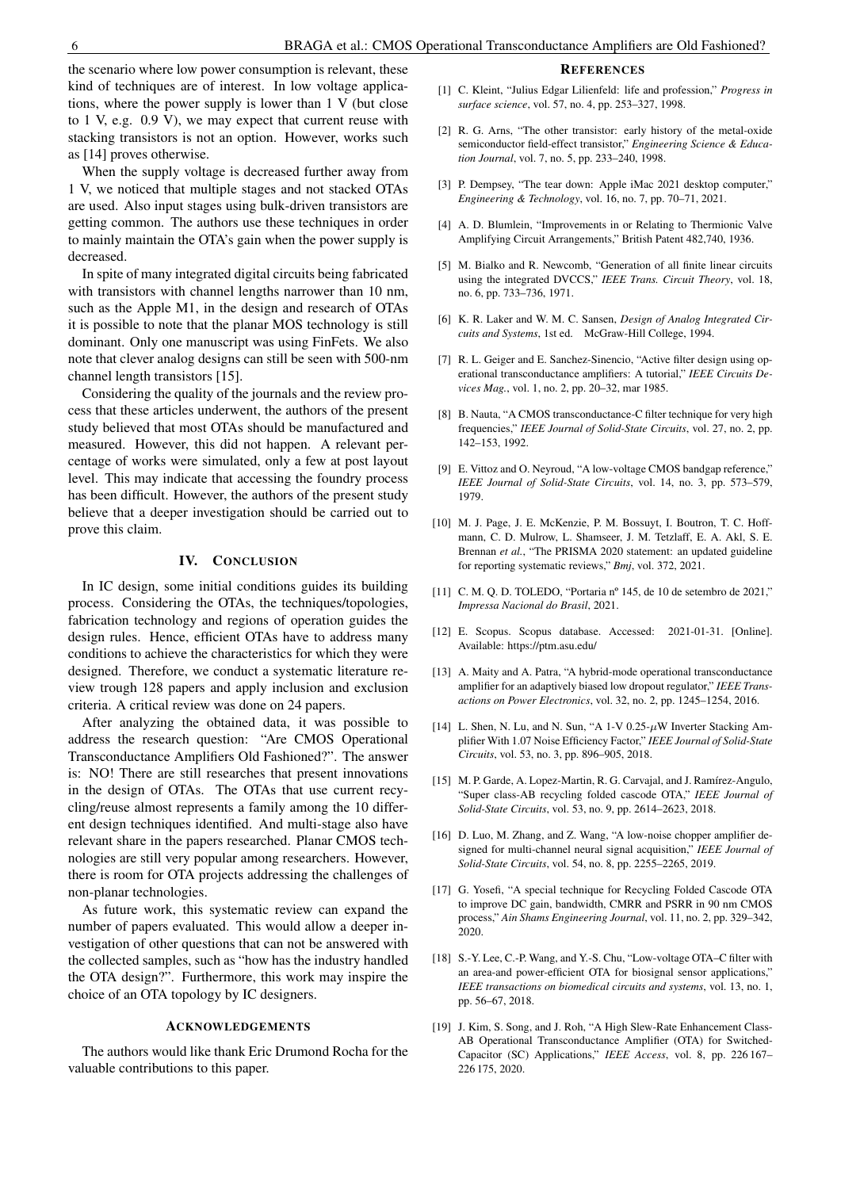the scenario where low power consumption is relevant, these kind of techniques are of interest. In low voltage applications, where the power supply is lower than 1 V (but close to 1 V, e.g. 0.9 V), we may expect that current reuse with stacking transistors is not an option. However, works such as [14] proves otherwise.

When the supply voltage is decreased further away from 1 V, we noticed that multiple stages and not stacked OTAs are used. Also input stages using bulk-driven transistors are getting common. The authors use these techniques in order to mainly maintain the OTA's gain when the power supply is decreased.

In spite of many integrated digital circuits being fabricated with transistors with channel lengths narrower than 10 nm, such as the Apple M1, in the design and research of OTAs it is possible to note that the planar MOS technology is still dominant. Only one manuscript was using FinFets. We also note that clever analog designs can still be seen with 500-nm channel length transistors [15].

Considering the quality of the journals and the review process that these articles underwent, the authors of the present study believed that most OTAs should be manufactured and measured. However, this did not happen. A relevant percentage of works were simulated, only a few at post layout level. This may indicate that accessing the foundry process has been difficult. However, the authors of the present study believe that a deeper investigation should be carried out to prove this claim.

#### IV. CONCLUSION

In IC design, some initial conditions guides its building process. Considering the OTAs, the techniques/topologies, fabrication technology and regions of operation guides the design rules. Hence, efficient OTAs have to address many conditions to achieve the characteristics for which they were designed. Therefore, we conduct a systematic literature review trough 128 papers and apply inclusion and exclusion criteria. A critical review was done on 24 papers.

After analyzing the obtained data, it was possible to address the research question: "Are CMOS Operational Transconductance Amplifiers Old Fashioned?". The answer is: NO! There are still researches that present innovations in the design of OTAs. The OTAs that use current recycling/reuse almost represents a family among the 10 different design techniques identified. And multi-stage also have relevant share in the papers researched. Planar CMOS technologies are still very popular among researchers. However, there is room for OTA projects addressing the challenges of non-planar technologies.

As future work, this systematic review can expand the number of papers evaluated. This would allow a deeper investigation of other questions that can not be answered with the collected samples, such as "how has the industry handled the OTA design?". Furthermore, this work may inspire the choice of an OTA topology by IC designers.

# ACKNOWLEDGEMENTS

The authors would like thank Eric Drumond Rocha for the valuable contributions to this paper.

#### **REFERENCES**

- [1] C. Kleint, "Julius Edgar Lilienfeld: life and profession," *Progress in surface science*, vol. 57, no. 4, pp. 253–327, 1998.
- [2] R. G. Arns, "The other transistor: early history of the metal-oxide semiconductor field-effect transistor," *Engineering Science & Education Journal*, vol. 7, no. 5, pp. 233–240, 1998.
- [3] P. Dempsey, "The tear down: Apple iMac 2021 desktop computer," *Engineering & Technology*, vol. 16, no. 7, pp. 70–71, 2021.
- [4] A. D. Blumlein, "Improvements in or Relating to Thermionic Valve Amplifying Circuit Arrangements," British Patent 482,740, 1936.
- [5] M. Bialko and R. Newcomb, "Generation of all finite linear circuits using the integrated DVCCS," *IEEE Trans. Circuit Theory*, vol. 18, no. 6, pp. 733–736, 1971.
- [6] K. R. Laker and W. M. C. Sansen, *Design of Analog Integrated Circuits and Systems*, 1st ed. McGraw-Hill College, 1994.
- [7] R. L. Geiger and E. Sanchez-Sinencio, "Active filter design using operational transconductance amplifiers: A tutorial," *IEEE Circuits Devices Mag.*, vol. 1, no. 2, pp. 20–32, mar 1985.
- [8] B. Nauta, "A CMOS transconductance-C filter technique for very high frequencies," *IEEE Journal of Solid-State Circuits*, vol. 27, no. 2, pp. 142–153, 1992.
- [9] E. Vittoz and O. Neyroud, "A low-voltage CMOS bandgap reference," *IEEE Journal of Solid-State Circuits*, vol. 14, no. 3, pp. 573–579, 1979.
- [10] M. J. Page, J. E. McKenzie, P. M. Bossuyt, I. Boutron, T. C. Hoffmann, C. D. Mulrow, L. Shamseer, J. M. Tetzlaff, E. A. Akl, S. E. Brennan *et al.*, "The PRISMA 2020 statement: an updated guideline for reporting systematic reviews," *Bmj*, vol. 372, 2021.
- [11] C. M. Q. D. TOLEDO, "Portaria nº 145, de 10 de setembro de 2021," *Impressa Nacional do Brasil*, 2021.
- [12] E. Scopus. Scopus database. Accessed: 2021-01-31. [Online]. Available: https://ptm.asu.edu/
- [13] A. Maity and A. Patra, "A hybrid-mode operational transconductance amplifier for an adaptively biased low dropout regulator," *IEEE Transactions on Power Electronics*, vol. 32, no. 2, pp. 1245–1254, 2016.
- [14] L. Shen, N. Lu, and N. Sun, "A 1-V  $0.25-\mu$ W Inverter Stacking Amplifier With 1.07 Noise Efficiency Factor," *IEEE Journal of Solid-State Circuits*, vol. 53, no. 3, pp. 896–905, 2018.
- [15] M. P. Garde, A. Lopez-Martin, R. G. Carvajal, and J. Ramírez-Angulo, "Super class-AB recycling folded cascode OTA," *IEEE Journal of Solid-State Circuits*, vol. 53, no. 9, pp. 2614–2623, 2018.
- [16] D. Luo, M. Zhang, and Z. Wang, "A low-noise chopper amplifier designed for multi-channel neural signal acquisition," *IEEE Journal of Solid-State Circuits*, vol. 54, no. 8, pp. 2255–2265, 2019.
- [17] G. Yosefi, "A special technique for Recycling Folded Cascode OTA to improve DC gain, bandwidth, CMRR and PSRR in 90 nm CMOS process," *Ain Shams Engineering Journal*, vol. 11, no. 2, pp. 329–342, 2020.
- [18] S.-Y. Lee, C.-P. Wang, and Y.-S. Chu, "Low-voltage OTA–C filter with an area-and power-efficient OTA for biosignal sensor applications," *IEEE transactions on biomedical circuits and systems*, vol. 13, no. 1, pp. 56–67, 2018.
- [19] J. Kim, S. Song, and J. Roh, "A High Slew-Rate Enhancement Class-AB Operational Transconductance Amplifier (OTA) for Switched-Capacitor (SC) Applications," *IEEE Access*, vol. 8, pp. 226 167– 226 175, 2020.